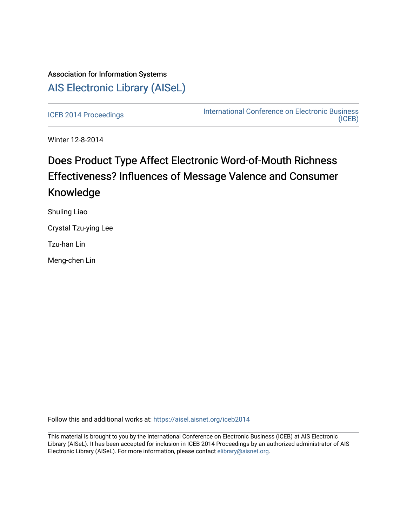# Association for Information Systems [AIS Electronic Library \(AISeL\)](https://aisel.aisnet.org/)

[ICEB 2014 Proceedings](https://aisel.aisnet.org/iceb2014) **International Conference on Electronic Business** [\(ICEB\)](https://aisel.aisnet.org/iceb) 

Winter 12-8-2014

# Does Product Type Affect Electronic Word-of-Mouth Richness Effectiveness? Influences of Message Valence and Consumer Knowledge

Shuling Liao

Crystal Tzu-ying Lee

Tzu-han Lin

Meng-chen Lin

Follow this and additional works at: [https://aisel.aisnet.org/iceb2014](https://aisel.aisnet.org/iceb2014?utm_source=aisel.aisnet.org%2Ficeb2014%2F47&utm_medium=PDF&utm_campaign=PDFCoverPages)

This material is brought to you by the International Conference on Electronic Business (ICEB) at AIS Electronic Library (AISeL). It has been accepted for inclusion in ICEB 2014 Proceedings by an authorized administrator of AIS Electronic Library (AISeL). For more information, please contact [elibrary@aisnet.org.](mailto:elibrary@aisnet.org%3E)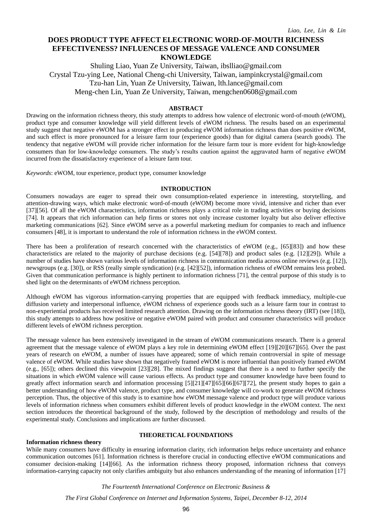# **DOES PRODUCT TYPE AFFECT ELECTRONIC WORD-OF-MOUTH RICHNESS EFFECTIVENESS? INFLUENCES OF MESSAGE VALENCE AND CONSUMER KNOWLEDGE**

Shuling Liao, Yuan Ze University, Taiwan, ibslliao@gmail.com Crystal Tzu-ying Lee, National Cheng-chi University, Taiwan, iampinkcrystal@gmail.com Tzu-han Lin, Yuan Ze University, Taiwan, lth.lance@gmail.com Meng-chen Lin, Yuan Ze University, Taiwan, mengchen0608@gmail.com

# **ABSTRACT**

Drawing on the information richness theory, this study attempts to address how valence of electronic word-of-mouth (eWOM), product type and consumer knowledge will yield different levels of eWOM richness. The results based on an experimental study suggest that negative eWOM has a stronger effect in producing eWOM information richness than does positive eWOM, and such effect is more pronounced for a leisure farm tour (experience goods) than for digital camera (search goods). The tendency that negative eWOM will provide richer information for the leisure farm tour is more evident for high-knowledge consumers than for low-knowledge consumers. The study's results caution against the aggravated harm of negative eWOM incurred from the dissatisfactory experience of a leisure farm tour.

*Keywords*: eWOM, tour experience, product type, consumer knowledge

#### **INTRODUCTION**

Consumers nowadays are eager to spread their own consumption-related experience in interesting, storytelling, and attention-drawing ways, which make electronic word-of-mouth (eWOM) become more vivid, intensive and richer than ever [37][56]. Of all the eWOM characteristics, information richness plays a critical role in trading activities or buying decisions [74]. It appears that rich information can help firms or stores not only increase customer loyalty but also deliver effective marketing communications [62]. Since eWOM serve as a powerful marketing medium for companies to reach and influence consumers [48], it is important to understand the role of information richness in the eWOM context.

There has been a proliferation of research concerned with the characteristics of eWOM (e.g., [65][83]) and how these characteristics are related to the majority of purchase decisions (e.g. [54][78]) and product sales (e.g. [12][29]). While a number of studies have shown various levels of information richness in communication media across online reviews (e.g. [12]), newsgroups (e.g. [30]), or RSS (really simple syndication) (e.g. [42][52]), information richness of eWOM remains less probed. Given that communication performance is highly pertinent to information richness [71], the central purpose of this study is to shed light on the determinants of eWOM richness perception.

Although eWOM has vigorous information-carrying properties that are equipped with feedback immediacy, multiple-cue diffusion variety and interpersonal influence, eWOM richness of experience goods such as a leisure farm tour in contrast to non-experiential products has received limited research attention. Drawing on the information richness theory (IRT) (see [18]), this study attempts to address how positive or negative eWOM paired with product and consumer characteristics will produce different levels of eWOM richness perception.

The message valence has been extensively investigated in the stream of eWOM communications research. There is a general agreement that the message valence of eWOM plays a key role in determining eWOM effect [19][20][67][65]. Over the past years of research on eWOM, a number of issues have appeared; some of which remain controversial in spite of message valence of eWOM. While studies have shown that negatively framed eWOM is more influential than positively framed eWOM (e.g., [65]); others declined this viewpoint [23][28]. The mixed findings suggest that there is a need to further specify the situations in which eWOM valence will cause various effects. As product type and consumer knowledge have been found to greatly affect information search and information processing [5][21][47][65][66][67][72], the present study hopes to gain a better understanding of how eWOM valence, product type, and consumer knowledge will co-work to generate eWOM richness perception. Thus, the objective of this study is to examine how eWOM message valence and product type will produce various levels of information richness when consumers exhibit different levels of product knowledge in the eWOM context. The next section introduces the theoretical background of the study, followed by the description of methodology and results of the experimental study. Conclusions and implications are further discussed.

#### **Information richness theory**

# **THEORETICAL FOUNDATIONS**

While many consumers have difficulty in ensuring information clarity, rich information helps reduce uncertainty and enhance communication outcomes [61]. Information richness is therefore crucial in conducting effective eWOM communications and consumer decision-making [14][66]. As the information richness theory proposed, information richness that conveys information-carrying capacity not only clarifies ambiguity but also enhances understanding of the meaning of information [17]

*The Fourteenth International Conference on Electronic Business &*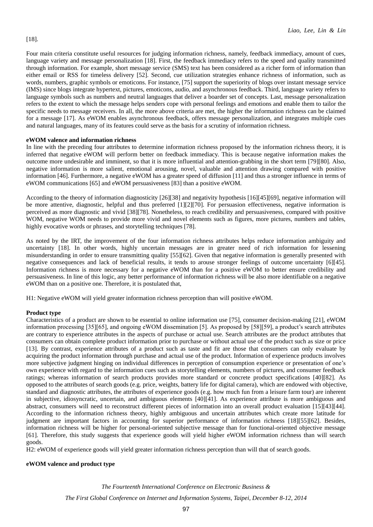Four main criteria constitute useful resources for judging information richness, namely, feedback immediacy, amount of cues, language variety and message personalization [18]. First, the feedback immediacy refers to the speed and quality transmitted through information. For example, short message service (SMS) text has been considered as a richer form of information than either email or RSS for timeless delivery [52]. Second, cue utilization strategies enhance richness of information, such as words, numbers, graphic symbols or emoticons. For instance, [75] support the superiority of blogs over instant message service (IMS) since blogs integrate hypertext, pictures, emoticons, audio, and asynchronous feedback. Third, language variety refers to language symbols such as numbers and neutral languages that deliver a boarder set of concepts. Last, message personalization refers to the extent to which the message helps senders cope with personal feelings and emotions and enable them to tailor the specific needs to message receivers. In all, the more above criteria are met, the higher the information richness can be claimed for a message [17]. As eWOM enables asynchronous feedback, offers message personalization, and integrates multiple cues and natural languages, many of its features could serve as the basis for a scrutiny of information richness.

#### **eWOM valence and information richness**

In line with the preceding four attributes to determine information richness proposed by the information richness theory, it is inferred that negative eWOM will perform better on feedback immediacy. This is because negative information makes the outcome more undesirable and imminent, so that it is more influential and attention-grabbing in the short term [79][80]. Also, negative information is more salient, emotional arousing, novel, valuable and attention drawing compared with positive information [46]. Furthermore, a negative eWOM has a greater speed of diffusion [11] and thus a stronger influence in terms of eWOM communications [65] and eWOM persuasiveness [83] than a positive eWOM.

According to the theory of information diagnosticity [26][38] and negativity hypothesis [16][45][69], negative information will be more attentive, diagnostic, helpful and thus preferred [1][2][70]. For persuasion effectiveness, negative information is perceived as more diagnostic and vivid [38][78]. Nonetheless, to reach credibility and persuasiveness, compared with positive WOM, negative WOM needs to provide more vivid and novel elements such as figures, more pictures, numbers and tables, highly evocative words or phrases, and storytelling techniques [78].

As noted by the IRT, the improvement of the four information richness attributes helps reduce information ambiguity and uncertainty [18]. In other words, highly uncertain messages are in greater need of rich information for lessening misunderstanding in order to ensure transmitting quality [55][62]. Given that negative information is generally presented with negative consequences and lack of beneficial results, it tends to arouse stronger feelings of outcome uncertainty [6][45]. Information richness is more necessary for a negative eWOM than for a positive eWOM to better ensure credibility and persuasiveness. In line of this logic, any better performance of information richness will be also more identifiable on a negative eWOM than on a positive one. Therefore, it is postulated that,

H1: Negative eWOM will yield greater information richness perception than will positive eWOM.

# **Product type**

Characteristics of a product are shown to be essential to online information use [75], consumer decision-making [21], eWOM information processing [35][65], and ongoing eWOM dissemination [5]. As proposed by [58][59], a product's search attributes are contrary to experience attributes in the aspects of purchase or actual use. Search attributes are the product attributes that consumers can obtain complete product information prior to purchase or without actual use of the product such as size or price [13]. By contrast, experience attributes of a product such as taste and fit are those that consumers can only evaluate by acquiring the product information through purchase and actual use of the product. Information of experience products involves more subjective judgment hinging on individual differences in perception of consumption experience or presentation of one's own experience with regard to the information cues such as storytelling elements, numbers of pictures, and consumer feedback ratings; whereas information of search products provides more standard or concrete product specifications [40][82]. As opposed to the attributes of search goods (e.g. price, weights, battery life for digital camera), which are endowed with objective, standard and diagnostic attributes, the attributes of experience goods (e.g. how much fun from a leisure farm tour) are inherent in subjective, idiosyncratic, uncertain, and ambiguous elements [40][41]. As experience attribute is more ambiguous and abstract, consumers will need to reconstruct different pieces of information into an overall product evaluation [15][43][44]. According to the information richness theory, highly ambiguous and uncertain attributes which create more latitude for judgment are important factors in accounting for superior performance of information richness [18][55][62]. Besides, information richness will be higher for personal-oriented subjective message than for functional-oriented objective message [61]. Therefore, this study suggests that experience goods will yield higher eWOM information richness than will search goods.

H2: eWOM of experience goods will yield greater information richness perception than will that of search goods.

#### **eWOM valence and product type**

*The Fourteenth International Conference on Electronic Business & The First Global Conference on Internet and Information Systems, Taipei, December 8-12, 2014*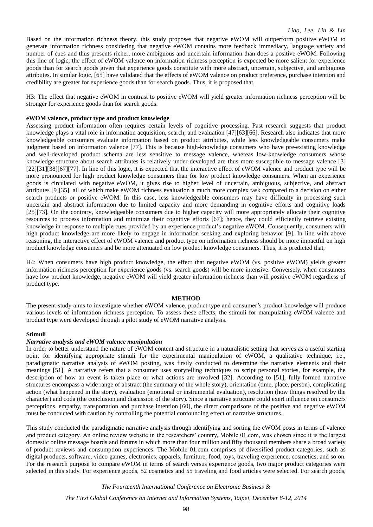Based on the information richness theory, this study proposes that negative eWOM will outperform positive eWOM to generate information richness considering that negative eWOM contains more feedback immediacy, language variety and number of cues and thus presents richer, more ambiguous and uncertain information than does a positive eWOM. Following this line of logic, the effect of eWOM valence on information richness perception is expected be more salient for experience goods than for search goods given that experience goods constitute with more abstract, uncertain, subjective, and ambiguous attributes. In similar logic, [65] have validated that the effects of eWOM valence on product preference, purchase intention and credibility are greater for experience goods than for search goods. Thus, it is proposed that,

H3: The effect that negative eWOM in contrast to positive eWOM will yield greater information richness perception will be stronger for experience goods than for search goods.

#### **eWOM valence, product type and product knowledge**

Assessing product information often requires certain levels of cognitive processing. Past research suggests that product knowledge plays a vital role in information acquisition, search, and evaluation [47][63][66]. Research also indicates that more knowledgeable consumers evaluate information based on product attributes, while less knowledgeable consumers make judgment based on information valence [77]. This is because high-knowledge consumers who have pre-existing knowledge and well-developed product schema are less sensitive to message valence, whereas low-knowledge consumers whose knowledge structure about search attributes is relatively under-developed are thus more susceptible to message valence [3] [22][31][38][67][77]. In line of this logic, it is expected that the interactive effect of eWOM valence and product type will be more pronounced for high product knowledge consumers than for low product knowledge consumers. When an experience goods is circulated with negative eWOM, it gives rise to higher level of uncertain, ambiguous, subjective, and abstract attributes [9][35], all of which make eWOM richness evaluation a much more complex task compared to a decision on either search products or positive eWOM. In this case, less knowledgeable consumers may have difficulty in processing such uncertain and abstract information due to limited capacity and more demanding in cognitive efforts and cognitive loads [25][73]. On the contrary, knowledgeable consumers due to higher capacity will more appropriately allocate their cognitive resources to process information and minimize their cognitive efforts [67]; hence, they could efficiently retrieve existing knowledge in response to multiple cues provided by an experience product's negative eWOM. Consequently, consumers with high product knowledge are more likely to engage in information seeking and exploring behavior [9]. In line with above reasoning, the interactive effect of eWOM valence and product type on information richness should be more impactful on high product knowledge consumers and be more attenuated on low product knowledge consumers. Thus, it is predicted that,

H4: When consumers have high product knowledge, the effect that negative eWOM (vs. positive eWOM) yields greater information richness perception for experience goods (vs. search goods) will be more intensive. Conversely, when consumers have low product knowledge, negative eWOM will yield greater information richness than will positive eWOM regardless of product type.

#### **METHOD**

The present study aims to investigate whether eWOM valence, product type and consumer's product knowledge will produce various levels of information richness perception. To assess these effects, the stimuli for manipulating eWOM valence and product type were developed through a pilot study of eWOM narrative analysis.

#### **Stimuli**

#### *Narrative analysis and eWOM valence manipulation*

In order to better understand the nature of eWOM content and structure in a naturalistic setting that serves as a useful starting point for identifying appropriate stimuli for the experimental manipulation of eWOM, a qualitative technique, i.e., paradigmatic narrative analysis of eWOM posting, was firstly conducted to determine the narrative elements and their meanings [51]. A narrative refers that a consumer uses storytelling techniques to script personal stories, for example, the description of how an event is taken place or what actions are involved [32]. According to [51], fully-formed narrative structures encompass a wide range of abstract (the summary of the whole story), orientation (time, place, person), complicating action (what happened in the story), evaluation (emotional or instrumental evaluation), resolution (how things resolved by the character) and coda (the conclusion and discussion of the story). Since a narrative structure could exert influence on consumers' perceptions, empathy, transportation and purchase intention [60], the direct comparisons of the positive and negative eWOM must be conducted with caution by controlling the potential confounding effect of narrative structures.

This study conducted the paradigmatic narrative analysis through identifying and sorting the eWOM posts in terms of valence and product category. An online review website in the researchers' country, Mobile 01.com, was chosen since it is the largest domestic online message boards and forums in which more than four million and fifty thousand members share a broad variety of product reviews and consumption experiences. The Mobile 01.com comprises of diversified product categories, such as digital products, software, video games, electronics, apparels, furniture, food, toys, traveling experience, cosmetics, and so on. For the research purpose to compare eWOM in terms of search versus experience goods, two major product categories were selected in this study. For experience goods, 52 cosmetics and 55 traveling and food articles were selected. For search goods,

*The Fourteenth International Conference on Electronic Business &*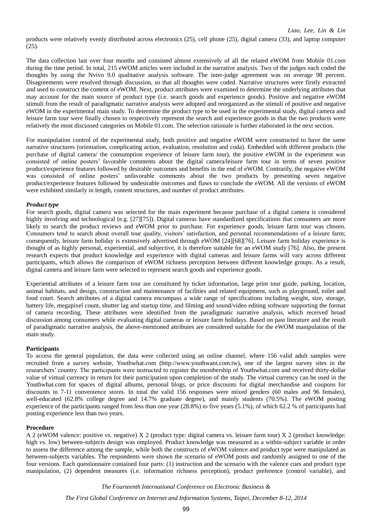products were relatively evenly distributed across electronics (25), cell phone (25), digital camera (33), and laptop computer (25).

The data collection last over four months and consisted almost extensively of all the related eWOM from Mobile 01.com during the time period. In total, 215 eWOM articles were included in the narrative analysis. Two of the judges each coded the thoughts by using the Nvivo 9.0 qualitative analysis software. The inter-judge agreement was on average 98 percent. Disagreements were resolved through discussion, so that all thoughts were coded. Narrative structures were firstly extracted and used to construct the content of eWOM. Next, product attributes were examined to determine the underlying attributes that may account for the main source of product type (i.e. search goods and experience goods). Positive and negative eWOM stimuli from the result of paradigmatic narrative analysis were adopted and reorganized as the stimuli of positive and negative eWOM in the experimental main study. To determine the product type to be used in the experimental study, digital camera and leisure farm tour were finally chosen to respectively represent the search and experience goods in that the two products were relatively the most discussed categories on Mobile 01.com. The selection rationale is further elaborated in the next section.

For manipulation control of the experimental study, both positive and negative eWOM were constructed to have the same narrative structures (orientation, complicating action, evaluation, resolution and coda). Embedded with different products (the purchase of digital camera/ the consumption experience of leisure farm tour), the positive eWOM in the experiment was consisted of online posters' favorable comments about the digital camera/leisure farm tour in terms of seven positive product/experience features followed by desirable outcomes and benefits in the end of eWOM. Contrarily, the negative eWOM was consisted of online posters' unfavorable comments about the two products by presenting seven negative product/experience features followed by undesirable outcomes and flaws to conclude the eWOM. All the versions of eWOM were exhibited similarly in length, content structures, and number of product attributes.

#### *Product type*

For search goods, digital camera was selected for the main experiment because purchase of a digital camera is considered highly involving and technological (e.g. [27][75]). Digital cameras have standardized specifications that consumers are more likely to search the product reviews and eWOM prior to purchase. For experience goods, leisure farm tour was chosen. Consumers tend to search about overall tour quality, visitors' satisfaction, and personal recommendations of a leisure farm; consequently, leisure farm holiday is extensively advertised through eWOM [24][68][76]. Leisure farm holiday experience is thought of as highly personal, experiential, and subjective, it is therefore suitable for an eWOM study [76]. Also, the present research expects that product knowledge and experience with digital cameras and leisure farms will vary across different participants, which allows the comparison of eWOM richness perception between different knowledge groups. As a result, digital camera and leisure farm were selected to represent search goods and experience goods.

Experiential attributes of a leisure farm tour are constituted by ticket information, large print tour guide, parking, location, animal habitats, and design, construction and maintenance of facilities and related equipment, such as playground, toilet and food court. Search attributes of a digital camera encompass a wide range of specifications including weight, size, storage, battery life, megapixel count, shutter lag and startup time, and filming and sound/video editing software supporting the format of camera recording. These attributes were identified from the paradigmatic narrative analysis, which received broad discussion among consumers while evaluating digital cameras or leisure farm holidays. Based on past literature and the result of paradigmatic narrative analysis, the above-mentioned attributes are considered suitable for the eWOM manipulation of the main study.

# **Participants**

To access the general population, the data were collected using an online channel, where 156 valid adult samples were recruited from a survey website, Youthwhat.com (http://www.youthwant.com.tw), one of the largest survey sites in the researchers' country. The participants were instructed to register the membership of Youthwhat.com and received thirty-dollar value of virtual currency in return for their participation upon completion of the study. The virtual currency can be used in the Youthwhat.com for spaces of digital albums, personal blogs, or price discounts for digital merchandise and coupons for discounts in 7-11 convenience stores. In total the valid 156 responses were mixed genders (60 males and 96 females), well-educated (62.8% college degree and 14.7% graduate degree), and mainly students (70.5%). The eWOM posting experience of the participants ranged from less than one year (28.8%) to five years (5.1%), of which 62.2 % of participants had posting experience less than two years.

# **Procedure**

A 2 (eWOM valence: positive vs. negative) X 2 (product type: digital camera vs. leisure farm tour) X 2 (product knowledge: high vs. low) between-subjects design was employed. Product knowledge was measured as a within-subject variable in order to assess the difference among the sample, while both the constructs of eWOM valence and product type were manipulated as between-subjects variables. The respondents were shown the scenario of eWOM posts and randomly assigned to one of the four versions. Each questionnaire contained four parts: (1) instruction and the scenario with the valence cues and product type manipulation, (2) dependent measures (i.e. information richness perception), product preference (control variable), and

*The Fourteenth International Conference on Electronic Business &*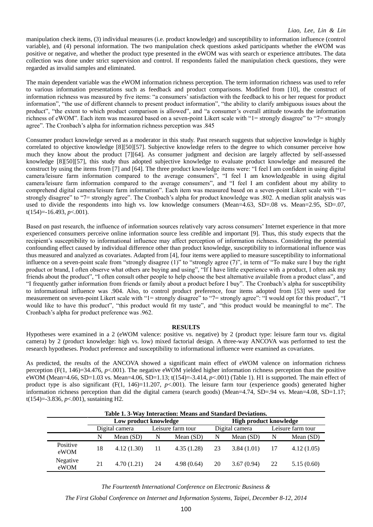manipulation check items, (3) individual measures (i.e. product knowledge) and susceptibility to information influence (control variable), and (4) personal information. The two manipulation check questions asked participants whether the eWOM was positive or negative, and whether the product type presented in the eWOM was with search or experience attributes. The data collection was done under strict supervision and control. If respondents failed the manipulation check questions, they were regarded as invalid samples and eliminated.

The main dependent variable was the eWOM information richness perception. The term information richness was used to refer to various information presentations such as feedback and product comparisons. Modified from [10], the construct of information richness was measured by five items: "a consumers' satisfaction with the feedback to his or her request for product information", "the use of different channels to present product information", "the ability to clarify ambiguous issues about the product", "the extent to which product comparison is allowed", and "a consumer's overall attitude towards the information richness of eWOM". Each item was measured based on a seven-point Likert scale with "1= strongly disagree" to "7= strongly agree". The Cronbach's alpha for information richness perception was .845

Consumer product knowledge served as a moderator in this study. Past research suggests that subjective knowledge is highly correlated to objective knowledge [8][50][57]. Subjective knowledge refers to the degree to which consumer perceive how much they know about the product [7][64]. As consumer judgment and decision are largely affected by self-assessed knowledge [8][50][57], this study thus adopted subjective knowledge to evaluate product knowledge and measured the construct by using the items from [7] and [64]. The three product knowledge items were: "I feel I am confident in using digital camera/leisure farm information compared to the average consumers", "I feel I am knowledgeable in using digital camera/leisure farm information compared to the average consumers", and "I feel I am confident about my ability to comprehend digital camera/leisure farm information". Each item was measured based on a seven-point Likert scale with "1= strongly disagree" to "7= strongly agree". The Cronbach's alpha for product knowledge was .802. A median split analysis was used to divide the respondents into high vs. low knowledge consumers (Mean=4.63, SD=.08 vs. Mean=2.95, SD=.07, t(154)=-16.493, *p*<.001).

Based on past research, the influence of information sources relatively vary across consumers' Internet experience in that more experienced consumers perceive online information source less credible and important [9]. Thus, this study expects that the recipient's susceptibility to informational influence may affect perception of information richness. Considering the potential confounding effect caused by individual difference other than product knowledge, susceptibility to informational influence was thus measured and analyzed as covariates. Adapted from [4], four items were applied to measure susceptibility to informational influence on a seven-point scale from "strongly disagree (1)" to "strongly agree (7)", in term of "To make sure I buy the right product or brand, I often observe what others are buying and using", "If I have little experience with a product, I often ask my friends about the product", "I often consult other people to help choose the best alternative available from a product class", and "I frequently gather information from friends or family about a product before I buy". The Cronbach's alpha for susceptibility to informational influence was .904. Also, to control product preference, four items adopted from [53] were used for measurement on seven-point Likert scale with "1= strongly disagree" to "7= strongly agree": "I would opt for this product", "I would like to have this product", "this product would fit my taste", and "this product would be meaningful to me". The Cronbach's alpha for product preference was .962.

#### **RESULTS**

Hypotheses were examined in a 2 (eWOM valence: positive vs. negative) by 2 (product type: leisure farm tour vs. digital camera) by 2 (product knowledge: high vs. low) mixed factorial design. A three-way ANCOVA was performed to test the research hypotheses. Product preference and susceptibility to informational influence were examined as covariates.

As predicted, the results of the ANCOVA showed a significant main effect of eWOM valence on information richness perception  $(F(1, 146)=34.476$ ,  $p<.001$ ). The negative eWOM yielded higher information richness perception than the positive eWOM (Mean=4.66, SD=1.03 vs. Mean=4.06, SD=1.13; t(154)=-3.414, *p*<.001) (Table 1). H1 is supported. The main effect of product type is also significant  $(F(1, 146)=11.207, p<.001)$ . The leisure farm tour (experience goods) generated higher information richness perception than did the digital camera (search goods) (Mean=4.74, SD=.94 vs. Mean=4.08, SD=1.17; t(154)=-3.836, *p*<.001), sustaining H2.

| Table 1.3-Way Interaction: Means and Standard Deviations. |                       |             |                   |             |                        |            |                   |             |
|-----------------------------------------------------------|-----------------------|-------------|-------------------|-------------|------------------------|------------|-------------------|-------------|
|                                                           | Low product knowledge |             |                   |             | High product knowledge |            |                   |             |
|                                                           | Digital camera        |             | Leisure farm tour |             | Digital camera         |            | Leisure farm tour |             |
|                                                           | N                     | Mean $(SD)$ | N                 | Mean $(SD)$ | N                      | Mean (SD)  | N                 | Mean $(SD)$ |
| Positive<br>eWOM                                          | 18                    | 4.12(1.30)  | 11                | 4.35(1.28)  | 23                     | 3.84(1.01) |                   | 4.12(1.05)  |
| Negative<br>eWOM                                          | 21                    | 4.70(1.21)  | 24                | 4.98(0.64)  | 20                     | 3.67(0.94) | 22                | 5.15(0.60)  |

*The Fourteenth International Conference on Electronic Business &*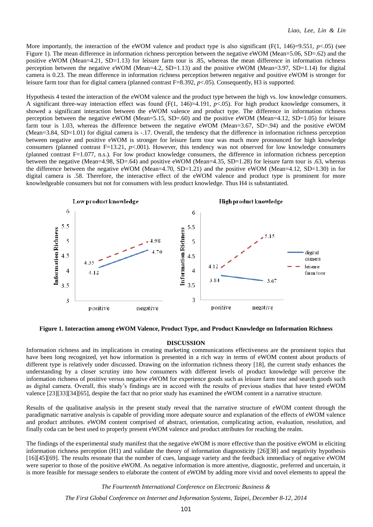More importantly, the interaction of the eWOM valence and product type is also significant  $(F(1, 146)=9.551, p<05)$  (see Figure 1). The mean difference in information richness perception between the negative eWOM (Mean=5.06, SD=.62) and the positive eWOM (Mean=4.21, SD=1.13) for leisure farm tour is .85, whereas the mean difference in information richness perception between the negative eWOM (Mean=4.2, SD=1.13) and the positive eWOM (Mean=3.97, SD=1.14) for digital camera is 0.23. The mean difference in information richness perception between negative and positive eWOM is stronger for leisure farm tour than for digital camera (planned contrast F=8.392, *p*<.05). Consequently, H3 is supported.

Hypothesis 4 tested the interaction of the eWOM valence and the product type between the high vs. low knowledge consumers. A significant three-way interaction effect was found  $(F(1, 146)=4.191, p<0.65)$ . For high product knowledge consumers, it showed a significant interaction between the eWOM valence and product type. The difference in information richness perception between the negative eWOM (Mean=5.15, SD=.60) and the positive eWOM (Mean=4.12, SD=1.05) for leisure farm tour is 1.03, whereas the difference between the negative eWOM (Mean=3.67, SD=.94) and the positive eWOM (Mean=3.84, SD=1.01) for digital camera is -.17. Overall, the tendency that the difference in information richness perception between negative and positive eWOM is stronger for leisure farm tour was much more pronounced for high knowledge consumers (planned contrast F=13.21, *p*<.001). However, this tendency was not observed for low knowledge consumers (planned contrast F=1.077, n.s.). For low product knowledge consumers, the difference in information richness perception between the negative (Mean=4.98, SD=.64) and positive eWOM (Mean=4.35, SD=1.28) for leisure farm tour is .63, whereas the difference between the negative eWOM (Mean=4.70, SD=1.21) and the positive eWOM (Mean=4.12, SD=1.30) in for digital camera is .58. Therefore, the interactive effect of the eWOM valence and product type is prominent for more knowledgeable consumers but not for consumers with less product knowledge. Thus H4 is substantiated.



**Figure 1. Interaction among eWOM Valence, Product Type, and Product Knowledge on Information Richness**

#### **DISCUSSION**

Information richness and its implications in creating marketing communications effectiveness are the prominent topics that have been long recognized, yet how information is presented in a rich way in terms of eWOM content about products of different type is relatively under discussed. Drawing on the information richness theory [18], the current study enhances the understanding by a closer scrutiny into how consumers with different levels of product knowledge will perceive the information richness of positive versus negative eWOM for experience goods such as leisure farm tour and search goods such as digital camera. Overall, this study's findings are in accord with the results of previous studies that have tested eWOM valence [23][33][34][65], despite the fact that no prior study has examined the eWOM content in a narrative structure.

Results of the qualitative analysis in the present study reveal that the narrative structure of eWOM content through the paradigmatic narrative analysis is capable of providing more adequate source and explanation of the effects of eWOM valence and product attributes. eWOM content comprised of abstract, orientation, complicating action, evaluation, resolution, and finally coda can be best used to properly present eWOM valence and product attributes for reaching the realm.

The findings of the experimental study manifest that the negative eWOM is more effective than the positive eWOM in eliciting information richness perception (H1) and validate the theory of information diagnosticity [26][38] and negativity hypothesis [16][45][69]. The results resonate that the number of cues, language variety and the feedback immediacy of negative eWOM were superior to those of the positive eWOM. As negative information is more attentive, diagnostic, preferred and uncertain, it is more feasible for message senders to elaborate the content of eWOM by adding more vivid and novel elements to appeal the

#### *The Fourteenth International Conference on Electronic Business &*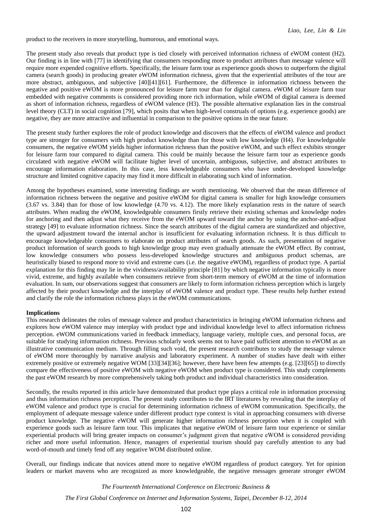product to the receivers in more storytelling, humorous, and emotional ways.

The present study also reveals that product type is tied closely with perceived information richness of eWOM content (H2). Our finding is in line with [77] in identifying that consumers responding more to product attributes than message valence will require more expended cognitive efforts. Specifically, the leisure farm tour as experience goods shows to outperform the digital camera (search goods) in producing greater eWOM information richness, given that the experiential attributes of the tour are more abstract, ambiguous, and subjective [40][41][61]. Furthermore, the difference in information richness between the negative and positive eWOM is more pronounced for leisure farm tour than for digital camera. eWOM of leisure farm tour embedded with negative comments is considered providing more rich information, while eWOM of digital camera is deemed as short of information richness, regardless of eWOM valence (H3). The possible alternative explanation lies in the construal level theory (CLT) in social cognition [79], which posits that when high-level construals of options (e.g. experience goods) are negative, they are more attractive and influential in comparison to the positive options in the near future.

The present study further explores the role of product knowledge and discovers that the effects of eWOM valence and product type are stronger for consumers with high product knowledge than for those with low knowledge (H4). For knowledgeable consumers, the negative eWOM yields higher information richness than the positive eWOM, and such effect exhibits stronger for leisure farm tour compared to digital camera. This could be mainly because the leisure farm tour as experience goods circulated with negative eWOM will facilitate higher level of uncertain, ambiguous, subjective, and abstract attributes to encourage information elaboration. In this case, less knowledgeable consumers who have under-developed knowledge structure and limited cognitive capacity may find it more difficult in elaborating such kind of information.

Among the hypotheses examined, some interesting findings are worth mentioning. We observed that the mean difference of information richness between the negative and positive eWOM for digital camera is smaller for high knowledge consumers (3.67 vs. 3.84) than for those of low knowledge (4.70 vs. 4.12). The more likely explanation rests in the nature of search attributes. When reading the eWOM, knowledgeable consumers firstly retrieve their existing schemas and knowledge nodes for anchoring and then adjust what they receive from the eWOM upward toward the anchor by using the anchor-and-adjust strategy [49] to evaluate information richness. Since the search attributes of the digital camera are standardized and objective, the upward adjustment toward the internal anchor is insufficient for evaluating information richness. It is thus difficult to encourage knowledgeable consumers to elaborate on product attributes of search goods. As such, presentation of negative product information of search goods to high knowledge group may even gradually attenuate the eWOM effect. By contrast, low knowledge consumers who possess less-developed knowledge structures and ambiguous product schemas, are heuristically biased to respond more to vivid and extreme cues (i.e. the negative eWOM), regardless of product type. A partial explanation for this finding may lie in the vividness/availability principle [81] by which negative information typically is more vivid, extreme, and highly available when consumers retrieve from short-term memory of eWOM at the time of information evaluation. In sum, our observations suggest that consumers are likely to form information richness perception which is largely affected by their product knowledge and the interplay of eWOM valence and product type. These results help further extend and clarify the role the information richness plays in the eWOM communications.

#### **Implications**

This research delineates the roles of message valence and product characteristics in bringing eWOM information richness and explores how eWOM valence may interplay with product type and individual knowledge level to affect information richness perception. eWOM communications varied in feedback immediacy, language variety, multiple cues, and personal focus, are suitable for studying information richness. Previous scholarly work seems not to have paid sufficient attention to eWOM as an illustrative communication medium. Through filling such void, the present research contributes to study the message valence of eWOM more thoroughly by narrative analysis and laboratory experiment. A number of studies have dealt with either extremely positive or extremely negative WOM [33][34][36]; however, there have been few attempts (e.g. [23][65]) to directly compare the effectiveness of positive eWOM with negative eWOM when product type is considered. This study complements the past eWOM research by more comprehensively taking both product and individual characteristics into consideration.

Secondly, the results reported in this article have demonstrated that product type plays a critical role in information processing and thus information richness perception. The present study contributes to the IRT literatures by revealing that the interplay of eWOM valence and product type is crucial for determining information richness of eWOM communication. Specifically, the employment of adequate message valence under different product type context is vital in approaching consumers with diverse product knowledge. The negative eWOM will generate higher information richness perception when it is coupled with experience goods such as leisure farm tour. This implicates that negative eWOM of leisure farm tour experience or similar experiential products will bring greater impacts on consumer's judgment given that negative eWOM is considered providing richer and more useful information. Hence, managers of experiential tourism should pay carefully attention to any bad word-of-mouth and timely fend off any negative WOM distributed online.

Overall, our findings indicate that novices attend more to negative eWOM regardless of product category. Yet for opinion leaders or market mavens who are recognized as more knowledgeable, the negative messages generate stronger eWOM

*The Fourteenth International Conference on Electronic Business &*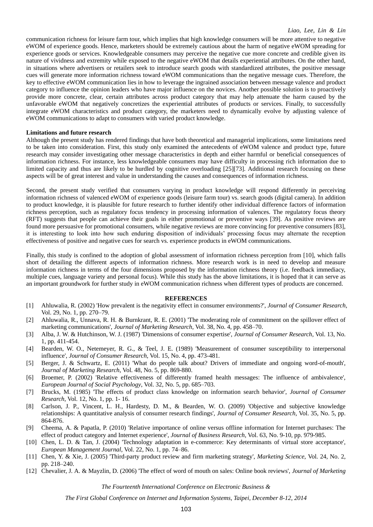communication richness for leisure farm tour, which implies that high knowledge consumers will be more attentive to negative eWOM of experience goods. Hence, marketers should be extremely cautious about the harm of negative eWOM spreading for experience goods or services. Knowledgeable consumers may perceive the negative cue more concrete and credible given its nature of vividness and extremity while exposed to the negative eWOM that details experiential attributes. On the other hand, in situations where advertisers or retailers seek to introduce search goods with standardized attributes, the positive message cues will generate more information richness toward eWOM communications than the negative message cues. Therefore, the key to effective eWOM communication lies in how to leverage the ingrained association between message valence and product category to influence the opinion leaders who have major influence on the novices. Another possible solution is to proactively provide more concrete, clear, certain attributes across product category that may help attenuate the harm caused by the unfavorable eWOM that negatively concretizes the experiential attributes of products or services. Finally, to successfully integrate eWOM characteristics and product category, the marketers need to dynamically evolve by adjusting valence of eWOM communications to adapt to consumers with varied product knowledge.

#### **Limitations and future research**

Although the present study has rendered findings that have both theoretical and managerial implications, some limitations need to be taken into consideration. First, this study only examined the antecedents of eWOM valence and product type, future research may consider investigating other message characteristics in depth and either harmful or beneficial consequences of information richness. For instance, less knowledgeable consumers may have difficulty in processing rich information due to limited capacity and thus are likely to be hurdled by cognitive overloading [25][73]. Additional research focusing on these aspects will be of great interest and value in understanding the causes and consequences of information richness.

Second, the present study verified that consumers varying in product knowledge will respond differently in perceiving information richness of valenced eWOM of experience goods (leisure farm tour) vs. search goods (digital camera). In addition to product knowledge, it is plausible for future research to further identify other individual difference factors of information richness perception, such as regulatory focus tendency in processing information of valences. The regulatory focus theory (RFT) suggests that people can achieve their goals in either promotional or preventive ways [39]. As positive reviews are found more persuasive for promotional consumers, while negative reviews are more convincing for preventive consumers [83], it is interesting to look into how such enduring disposition of individuals' processing focus may alternate the reception effectiveness of positive and negative cues for search vs. experience products in eWOM communications.

Finally, this study is confined to the adoption of global assessment of information richness perception from [10], which falls short of detailing the different aspects of information richness. More research work is in need to develop and measure information richness in terms of the four dimensions proposed by the information richness theory (i.e. feedback immediacy, multiple cues, language variety and personal focus). While this study has the above limitations, it is hoped that it can serve as an important groundwork for further study in eWOM communication richness when different types of products are concerned.

#### **REFERENCES**

- [1] Ahluwalia, R. (2002) 'How prevalent is the negativity effect in consumer environments?', *Journal of Consumer Research*, Vol. 29, No. 1, pp. 270–79.
- [2] Ahluwalia, R., Unnava, R. H. & Burnkrant, R. E. (2001) 'The moderating role of commitment on the spillover effect of marketing communications', *Journal of Marketing Research*, Vol. 38, No. 4, pp. 458–70.
- [3] Alba, J. W. & Hutchinson, W. J. (1987) 'Dimensions of consumer expertise', *Journal of Consumer Research*, Vol. 13, No. 1, pp. 411-454.
- [4] Bearden, W. O., Netemeyer, R. G., & Teel, J. E. (1989) 'Measurement of consumer susceptibility to interpersonal influence', *Journal of Consumer Research*, Vol. 15, No. 4, pp. 473-481.
- [5] Berger, J. & Schwartz, E. (2011) 'What do people talk about? Drivers of immediate and ongoing word-of-mouth', *Journal of Marketing Research*, Vol. 48, No. 5, pp. 869-880.
- [6] Broemer, P. (2002) 'Relative effectiveness of differently framed health messages: The influence of ambivalence', *European Journal of Social Psychology*, Vol. 32, No. 5, pp. 685–703.
- [7] Brucks, M. (1985) 'The effects of product class knowledge on information search behavior', *Journal of Consumer Research*, Vol. 12, No. 1, pp. 1- 16.
- [8] Carlson, J. P., Vincent, L. H., Hardesty, D. M., & Bearden, W. O. (2009) 'Objective and subjective knowledge relationships: A quantitative analysis of consumer research findings', *Journal of Consumer Research*, Vol. 35, No. 5, pp. 864-876.
- [9] Cheema, A. & Papatla, P. (2010) 'Relative importance of online versus offline information for Internet purchases: The effect of product category and Internet experience', *Journal of Business Research*, Vol. 63, No. 9-10, pp. 979-985.
- [10] Chen, L. D. & Tan, J. (2004) 'Technology adaptation in e-commerce: Key determinants of virtual store acceptance', *European Management Journal*, Vol. 22, No. 1, pp. 74–86.
- [11] Chen, Y. & Xie, J. (2005) 'Third-party product review and firm marketing strategy', *Marketing Science*, Vol. 24, No. 2, pp. 218–240.
- [12] Chevalier, J. A. & Mayzlin, D. (2006) 'The effect of word of mouth on sales: Online book reviews', *Journal of Marketing*

*The Fourteenth International Conference on Electronic Business &*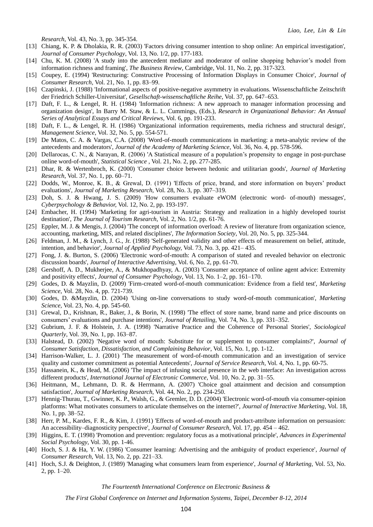*Research*, Vol. 43, No. 3, pp. 345-354.

- [13] Chiang, K. P. & Dholakia, R. R. (2003) 'Factors driving consumer intention to shop online: An empirical investigation', *Journal of Consumer Psychology*, Vol. 13, No. 1/2, pp. 177-183.
- [14] Chu, K. M. (2008) 'A study into the antecedent mediator and moderator of online shopping behavior's model from information richness and framing', *The Business Review*, Cambridge, Vol. 11, No. 2, pp. 317-323.
- [15] Coupey, E. (1994) 'Restructuring: Constructive Processing of Information Displays in Consumer Choice', *Journal of Consumer Research,* Vol. 21, No. 1, pp. 83–99.
- [16] Czapinski, J. (1988) 'Informational aspects of positive-negative asymmetry in evaluations. Wissenschaftliche Zeitschrift der Friedrich Schiller-Universitat', *Gesellschaft-wissenschaftliche Reihe*, Vol. 37, pp. 647–653.
- [17] Daft, F. L., & Lengel, R. H. (1984) 'Information richness: A new approach to manager information processing and organization design', In Barry M. Staw, & L. L. Cummings, (Eds.), *Research in Organizational Behavior: An Annual Series of Analytical Essays and Critical Reviews,* Vol. 6, pp. 191-233.
- [18] Daft, F. L., & Lengel, R. H. (1986) 'Organizational information requirements, media richness and structural design', *Management Science*, Vol. 32, No. 5, pp. 554-571.
- [19] De Matos, C. A. & Vargas, C.A. (2008) 'Word-of-mouth communications in marketing: a meta-analytic review of the antecedents and moderators', *Journal of the Academy of Marketing Science*, Vol. 36, No. 4, pp. 578-596.
- [20] Dellarocas, C. N., & Narayan, R. (2006) 'A Statistical measure of a population's propensity to engage in post-purchase online word-of-mouth', *Statistical Science* , Vol. 21, No. 2, pp. 277-285.
- [21] Dhar, R. & Wertenbroch, K. (2000) 'Consumer choice between hedonic and utilitarian goods', *Journal of Marketing Research*, Vol. 37, No. 1, pp. 60–71.
- [22] Dodds, W., Monroe, K. B., & Grewal, D. (1991) 'Effects of price, brand, and store information on buyers' product evaluations', *Journal of Marketing Research*, Vol. 28, No. 3, pp. 307–319.
- [23] Doh, S. J. & Hwang, J. S. (2009) 'How consumers evaluate eWOM (electronic word- of-mouth) messages', *Cyberpsychology & Behavior,* Vol. 12, No. 2, pp. 193-197.
- [24] Embacher, H. (1994) 'Marketing for agri-tourism in Austria: Strategy and realization in a highly developed tourist destination', *The Journal of Tourism Research*, Vol. 2, No. 1/2, pp. 61-76.
- [25] Eppler, M. J. & Mengis, J. (2004) 'The concept of information overload: A review of literature from organization science, accounting, marketing, MIS, and related disciplines', *The Information Society*, Vol. 20, No. 5, pp. 325-344.
- [26] Feldman, J. M., & Lynch, J. G., Jr. (1988) 'Self-generated validity and other effects of measurement on belief, attitude, intention, and behavior', *Journal of Applied Psychology,* Vol. 73, No. 3, pp. 421– 435.
- [27] Fong, J. &. Burton, S. (2006) 'Electronic word-of-mouth: A comparison of stated and revealed behavior on electronic discussion boards', *Journal of Interactive Advertising*, Vol. 6, No. 2, pp. 61-70.
- [28] Gershoff, A. D., Mukherjee, A., & Mukhopadhyay, A. (2003) 'Consumer acceptance of online agent advice: Extremity and positivity effects', *Journal of Consumer Psychology*, Vol. 13, No. 1–2, pp. 161–170.
- [29] Godes, D. & Mayzlin, D. (2009) 'Firm-created word-of-mouth communication: Evidence from a field test', *Marketing Science,* Vol. 28, No. 4, pp. 721-739.
- [30] Godes, D. &Mayzlin, D. (2004) 'Using on-line conversations to study word-of-mouth communication', *Marketing Science,* Vol. 23, No. 4, pp. 545-60.
- [31] Grewal, D., Krishnan, R., Baker, J., & Borin, N. (1998) 'The effect of store name, brand name and price discounts on consumers' evaluations and purchase intentions', *Journal of Retailing,* Vol. 74, No. 3, pp. 331–352.
- [32] Gubrium, J. F. & Holstein, J. A. (1998) 'Narrative Practice and the Coherence of Personal Stories', *Sociological Quarterly*, Vol. 39, No. 1, pp. 163–87.
- [33] Halstead, D. (2002) 'Negative word of mouth: Substitute for or supplement to consumer complaints?', *Journal of Consumer Satisfaction, Dissatisfaction, and Complaining Behavior*, Vol. 15, No. 1, pp. 1-12.
- [34] Harrison-Walker, L. J. (2001) 'The measurement of word-of-mouth communication and an investigation of service quality and customer commitment as potential Antecedents', *Journal of Service Research,* Vol. 4, No. 1, pp. 60-75.
- [35] Hassanein, K., & Head, M. (2006) 'The impact of infusing social presence in the web interface: An investigation across different products', *International Journal of Electronic Commerce*, Vol. 10, No. 2, pp. 31–55.
- [36] Heitmann, M., Lehmann, D. R. & Herrmann, A. (2007) 'Choice goal attainment and decision and consumption satisfaction', *Journal of Marketing Research*, Vol. 44, No. 2, pp. 234-250.
- [37] Hennig-Thurau, T., Gwinner, K. P., Walsh, G., & Gremler, D. D. (2004) 'Electronic word-of-mouth via consumer-opinion platforms: What motivates consumers to articulate themselves on the internet?', *Journal of Interactive Marketing*, Vol. 18, No. 1, pp. 38–52.
- [38] Herr, P. M., Kardes, F. R., & Kim, J. (1991) 'Effects of word-of-mouth and product-attribute information on persuasion: An accessibility–diagnosticity perspective', *Journal of Consumer Research,* Vol. 17, pp. 454 – 462.
- [39] Higgins, E. T. (1998) 'Promotion and prevention: regulatory focus as a motivational principle', *Advances in Experimental Social Psychology*, Vol. 30, pp. 1-46.
- [40] Hoch, S. J. & Ha, Y. W. (1986) 'Consumer learning: Advertising and the ambiguity of product experience', *Journal of Consumer Research,* Vol. 13, No. 2, pp. 221–33.
- [41] Hoch, S.J. & Deighton, J. (1989) 'Managing what consumers learn from experience', *Journal of Marketing,* Vol. 53, No. 2, pp. 1–20.

*The Fourteenth International Conference on Electronic Business &*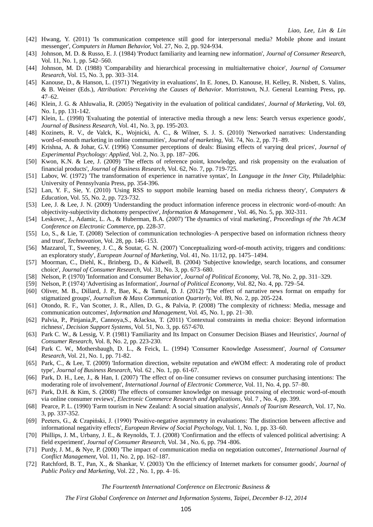- [42] Hwang, Y. (2011) 'Is communication competence still good for interpersonal media? Mobile phone and instant messenger', *Computers in Human Behavior,* Vol. 27, No. 2, pp. 924-934.
- [43] Johnson, M. D. & Russo, E. J. (1984) 'Product familiarity and learning new information', *Journal of Consumer Research*, Vol. 11, No. 1, pp. 542–560.
- [44] Johnson, M. D. (1988) 'Comparability and hierarchical processing in multialternative choice', *Journal of Consumer Research*, Vol. 15, No. 3, pp. 303–314.
- [45] Kanouse, D., & Hanson, L. (1971) 'Negativity in evaluations', In E. Jones, D. Kanouse, H. Kelley, R. Nisbett, S. Valins, & B. Weiner (Eds.), *Attribution: Perceiving the Causes of Behavior*. Morristown, N.J. General Learning Press, pp. 47–62.
- [46] Klein, J. G. & Ahluwalia, R. (2005) 'Negativity in the evaluation of political candidates', *Journal of Marketing*, Vol. 69, No. 1, pp. 131-142.
- [47] Klein, L. (1998) 'Evaluating the potential of interactive media through a new lens: Search versus experience goods', *Journal of Business Research,* Vol. 41, No. 3, pp. 195-203.
- [48] Kozinets, R. V., de Valck, K., Wojnicki, A. C., & Wilner, S. J. S. (2010) 'Networked narratives: Understanding word-of-mouth marketing in online communities', *Journal of marketing,* Vol. 74, No. 2, pp. 71–89.
- [49] Krishna, A. & Johar, G.V. (1996) 'Consumer perceptions of deals: Biasing effects of varying deal prices', *Journal of Experimental Psychology: Applied,* Vol. 2, No. 3, pp. 187–206.
- [50] Kwon, K.N. & Lee, J. (2009) 'The effects of reference point, knowledge, and risk propensity on the evaluation of financial products', *Journal of Business Research,* Vol. 62, No. 7, pp. 719-725.
- [51] Labov, W. (1972) 'The transformation of experience in narrative syntax', In *Language in the Inner City,* Philadelphia: University of Pennsylvania Press, pp. 354-396.
- [52] Lan, Y. F., Sie, Y. (2010) 'Using RSS to support mobile learning based on media richness theory', *Computers & Education*, Vol. 55, No. 2, pp. 723-732.
- [53] Lee, J. & Lee, J. N. (2009) 'Understanding the product information inference process in electronic word-of-mouth: An objectivity-subjectivity dichotomy perspective', *Information & Management* , Vol. 46, No. 5, pp. 302-311.
- [54] Leskovec, J., Adamic, L. A., & Huberman, B.A. (2007) 'The dynamics of viral marketing', *Proceedings of the 7th ACM Conference on Electronic Commerce*, pp. 228-37.
- [55] Lo, S., & Lie, T. (2008) 'Selection of communication technologies–A perspective based on information richness theory and trust', *Technovation*, Vol. 28, pp. 146–153.
- [56] Mazzarol, T., Sweeney, J. C., & Soutar, G. N. (2007) 'Conceptualizing word-of-mouth activity, triggers and conditions: an exploratory study', *European Journal of Marketing*, Vol. 41, No. 11/12, pp. 1475–1494.
- [57] Moorman, C., Diehl, K., Brinberg, D., & Kidwell, B. (2004) 'Subjective knowledge, search locations, and consumer choice', *Journal of Consumer Research*, Vol. 31, No. 3, pp. 673–680.
- [58] Nelson, P. (1970) 'Information and Consumer Behavior', *Journal of Political Economy,* Vol. 78, No. 2, pp. 311–329.
- [59] Nelson, P. (1974) 'Advertising as Information', *Journal of Political Economy*, Vol. 82, No. 4, pp. 729–54.
- [60] Oliver, M. B., Dillard, J. P., Bae, K., & Tamul, D. J. (2012) 'The effect of narrative news format on empathy for stigmatized groups', *Journalism & Mass Communication Quarterly,* Vol. 89, No. 2, pp. 205-224.
- [61] Otondo, R. F., Van Scotter, J. R., Allen, D. G., & Palvia, P. (2008) 'The complexity of richness: Media, message and communication outcomes', *Information and Management,* Vol. 45, No. 1, pp. 21–30.
- [62] Palvia, P., Pinjania,P., Cannoya,S., &Jacksa, T. (2011) 'Contextual constraints in media choice: Beyond information richness', *Decision Support Systems,* Vol. 51, No. 3, pp. 657-670.
- [63] Park C. W., & Lessig, V. P. (1981) 'Familiarity and Its Impact on Consumer Decision Biases and Heuristics', *Journal of Consumer Research,* Vol. 8, No. 2, pp. 223-230.
- [64] Park C. W., Mothersbaugh, D. L., & Feick, L. (1994) 'Consumer Knowledge Assessment', *Journal of Consumer Research,* Vol. 21, No. 1, pp. 71-82.
- [65] Park, C., & Lee, T. (2009) 'Information direction, website reputation and eWOM effect: A moderating role of product type', *Journal of Business Research*, Vol. 62 , No. 1, pp. 61-67.
- [66] Park, D. H., Lee, J., & Han, I. (2007) 'The effect of on-line consumer reviews on consumer purchasing intentions: The moderating role of involvement', *International Journal of Electronic Commerce,* Vol. 11, No. 4, pp. 57–80.
- [67] Park, D.H. & Kim, S. (2008) 'The effects of consumer knowledge on message processing of electronic word-of-mouth via online consumer reviews', *Electronic Commerce Research and Applications*, Vol. 7 , No. 4, pp. 399.
- [68] Pearce, P. L. (1990) 'Farm tourism in New Zealand: A social situation analysis', *Annals of Tourism Research*, Vol. 17, No. 3, pp. 337-352.
- [69] Peeters, G., & Czapiński, J. (1990) 'Positive-negative asymmetry in evaluations: The distinction between affective and informational negativity effects', *European Review of Social Psychology,* Vol. 1, No. 1, pp. 33–60.
- [70] Phillips, J. M., Urbany, J. E., & Reynolds, T. J. (2008) 'Confirmation and the effects of valenced political advertising: A field experiment', *Journal of Consumer Research,* Vol. 34 , No. 6, pp. 794 -806.
- [71] Purdy, J. M., & Nye, P. (2000) 'The impact of communication media on negotiation outcomes', *International Journal of Conflict Management,* Vol. 11, No. 2, pp. 162–187.
- [72] Ratchford, B. T., Pan, X., & Shankar, V. (2003) 'On the efficiency of Internet markets for consumer goods', *Journal of Public Policy and Marketing,* Vol. 22 , No. 1, pp. 4–16.

*The Fourteenth International Conference on Electronic Business &*